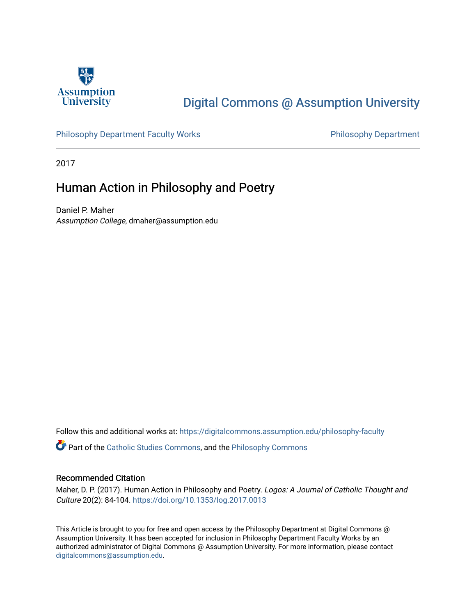

## [Digital Commons @ Assumption University](https://digitalcommons.assumption.edu/)

#### [Philosophy Department Faculty Works](https://digitalcommons.assumption.edu/philosophy-faculty) **Philosophy Department**

2017

### Human Action in Philosophy and Poetry

Daniel P. Maher Assumption College, dmaher@assumption.edu

Follow this and additional works at: [https://digitalcommons.assumption.edu/philosophy-faculty](https://digitalcommons.assumption.edu/philosophy-faculty?utm_source=digitalcommons.assumption.edu%2Fphilosophy-faculty%2F32&utm_medium=PDF&utm_campaign=PDFCoverPages) 

Part of the [Catholic Studies Commons](http://network.bepress.com/hgg/discipline/1294?utm_source=digitalcommons.assumption.edu%2Fphilosophy-faculty%2F32&utm_medium=PDF&utm_campaign=PDFCoverPages), and the [Philosophy Commons](http://network.bepress.com/hgg/discipline/525?utm_source=digitalcommons.assumption.edu%2Fphilosophy-faculty%2F32&utm_medium=PDF&utm_campaign=PDFCoverPages) 

#### Recommended Citation

Maher, D. P. (2017). Human Action in Philosophy and Poetry. Logos: A Journal of Catholic Thought and Culture 20(2): 84-104. <https://doi.org/10.1353/log.2017.0013>

This Article is brought to you for free and open access by the Philosophy Department at Digital Commons @ Assumption University. It has been accepted for inclusion in Philosophy Department Faculty Works by an authorized administrator of Digital Commons @ Assumption University. For more information, please contact [digitalcommons@assumption.edu](mailto:digitalcommons@assumption.edu).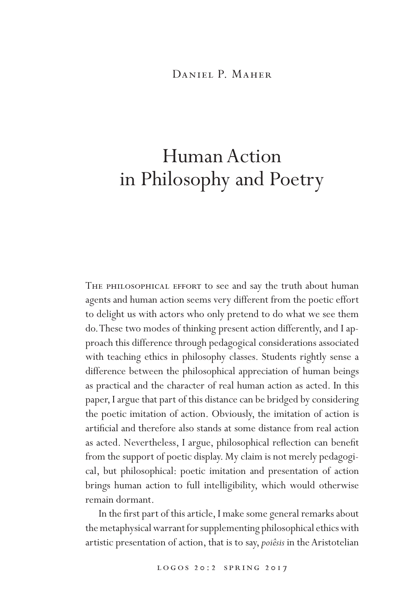#### Daniel P. Maher

# Human Action in Philosophy and Poetry

The philosophical effort to see and say the truth about human agents and human action seems very different from the poetic effort to delight us with actors who only pretend to do what we see them do. These two modes of thinking present action differently, and I approach this difference through pedagogical considerations associated with teaching ethics in philosophy classes. Students rightly sense a difference between the philosophical appreciation of human beings as practical and the character of real human action as acted. In this paper, I argue that part of this distance can be bridged by considering the poetic imitation of action. Obviously, the imitation of action is artificial and therefore also stands at some distance from real action as acted. Nevertheless, I argue, philosophical reflection can benefit from the support of poetic display. My claim is not merely pedagogical, but philosophical: poetic imitation and presentation of action brings human action to full intelligibility, which would otherwise remain dormant.

In the first part of this article, I make some general remarks about the metaphysical warrant for supplementing philosophical ethics with artistic presentation of action, that is to say, *poiêsis* in the Aristotelian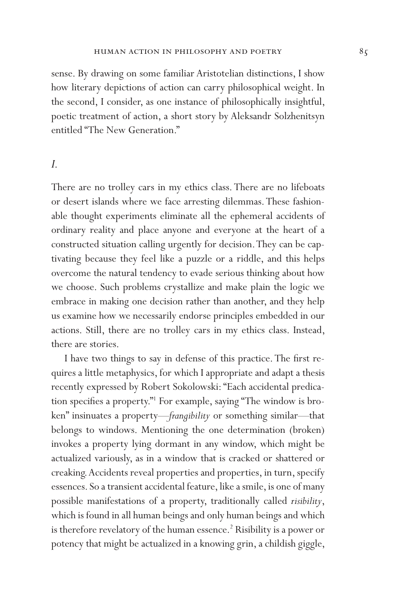sense. By drawing on some familiar Aristotelian distinctions, I show how literary depictions of action can carry philosophical weight. In the second, I consider, as one instance of philosophically insightful, poetic treatment of action, a short story by Aleksandr Solzhenitsyn entitled "The New Generation."

#### *I.*

There are no trolley cars in my ethics class. There are no lifeboats or desert islands where we face arresting dilemmas. These fashionable thought experiments eliminate all the ephemeral accidents of ordinary reality and place anyone and everyone at the heart of a constructed situation calling urgently for decision. They can be captivating because they feel like a puzzle or a riddle, and this helps overcome the natural tendency to evade serious thinking about how we choose. Such problems crystallize and make plain the logic we embrace in making one decision rather than another, and they help us examine how we necessarily endorse principles embedded in our actions. Still, there are no trolley cars in my ethics class. Instead, there are stories.

I have two things to say in defense of this practice. The first requires a little metaphysics, for which I appropriate and adapt a thesis recently expressed by Robert Sokolowski: "Each accidental predication specifies a property."1 For example, saying "The window is broken" insinuates a property—*frangibility* or something similar—that belongs to windows. Mentioning the one determination (broken) invokes a property lying dormant in any window, which might be actualized variously, as in a window that is cracked or shattered or creaking. Accidents reveal properties and properties, in turn, specify essences. So a transient accidental feature, like a smile, is one of many possible manifestations of a property, traditionally called *risibility*, which is found in all human beings and only human beings and which is therefore revelatory of the human essence.<sup>2</sup> Risibility is a power or potency that might be actualized in a knowing grin, a childish giggle,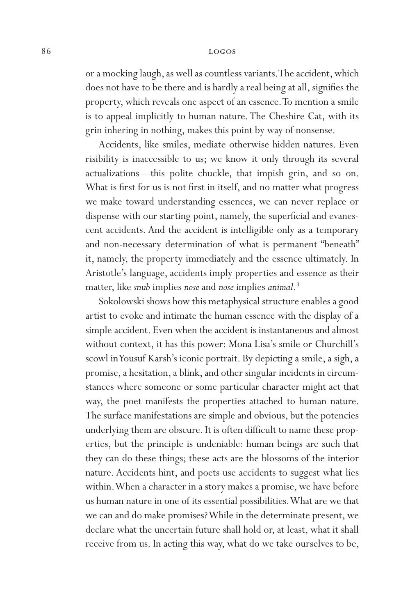or a mocking laugh, as well as countless variants. The accident, which does not have to be there and is hardly a real being at all, signifies the property, which reveals one aspect of an essence. To mention a smile is to appeal implicitly to human nature. The Cheshire Cat, with its grin inhering in nothing, makes this point by way of nonsense.

Accidents, like smiles, mediate otherwise hidden natures. Even risibility is inaccessible to us; we know it only through its several actualizations—this polite chuckle, that impish grin, and so on. What is first for us is not first in itself, and no matter what progress we make toward understanding essences, we can never replace or dispense with our starting point, namely, the superficial and evanescent accidents. And the accident is intelligible only as a temporary and non-necessary determination of what is permanent "beneath" it, namely, the property immediately and the essence ultimately. In Aristotle's language, accidents imply properties and essence as their matter, like *snub* implies *nose* and *nose* implies *animal*. 3

Sokolowski shows how this metaphysical structure enables a good artist to evoke and intimate the human essence with the display of a simple accident. Even when the accident is instantaneous and almost without context, it has this power: Mona Lisa's smile or Churchill's scowl in Yousuf Karsh's iconic portrait. By depicting a smile, a sigh, a promise, a hesitation, a blink, and other singular incidents in circumstances where someone or some particular character might act that way, the poet manifests the properties attached to human nature. The surface manifestations are simple and obvious, but the potencies underlying them are obscure. It is often difficult to name these properties, but the principle is undeniable: human beings are such that they can do these things; these acts are the blossoms of the interior nature. Accidents hint, and poets use accidents to suggest what lies within. When a character in a story makes a promise, we have before us human nature in one of its essential possibilities. What are we that we can and do make promises? While in the determinate present, we declare what the uncertain future shall hold or, at least, what it shall receive from us. In acting this way, what do we take ourselves to be,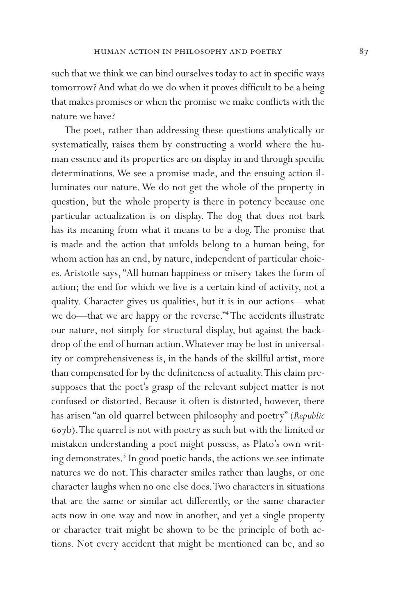such that we think we can bind ourselves today to act in specific ways tomorrow? And what do we do when it proves difficult to be a being that makes promises or when the promise we make conflicts with the nature we have?

The poet, rather than addressing these questions analytically or systematically, raises them by constructing a world where the human essence and its properties are on display in and through specific determinations. We see a promise made, and the ensuing action illuminates our nature. We do not get the whole of the property in question, but the whole property is there in potency because one particular actualization is on display. The dog that does not bark has its meaning from what it means to be a dog. The promise that is made and the action that unfolds belong to a human being, for whom action has an end, by nature, independent of particular choices. Aristotle says, "All human happiness or misery takes the form of action; the end for which we live is a certain kind of activity, not a quality. Character gives us qualities, but it is in our actions—what we do—that we are happy or the reverse."4 The accidents illustrate our nature, not simply for structural display, but against the backdrop of the end of human action. Whatever may be lost in universality or comprehensiveness is, in the hands of the skillful artist, more than compensated for by the definiteness of actuality. This claim presupposes that the poet's grasp of the relevant subject matter is not confused or distorted. Because it often is distorted, however, there has arisen "an old quarrel between philosophy and poetry" (*Republic* 607b). The quarrel is not with poetry as such but with the limited or mistaken understanding a poet might possess, as Plato's own writing demonstrates.5 In good poetic hands, the actions we see intimate natures we do not. This character smiles rather than laughs, or one character laughs when no one else does. Two characters in situations that are the same or similar act differently, or the same character acts now in one way and now in another, and yet a single property or character trait might be shown to be the principle of both actions. Not every accident that might be mentioned can be, and so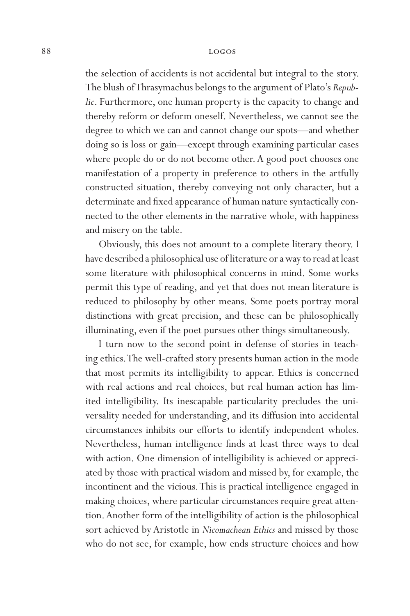the selection of accidents is not accidental but integral to the story. The blush of Thrasymachus belongs to the argument of Plato's *Republic*. Furthermore, one human property is the capacity to change and thereby reform or deform oneself. Nevertheless, we cannot see the degree to which we can and cannot change our spots—and whether doing so is loss or gain—except through examining particular cases where people do or do not become other. A good poet chooses one manifestation of a property in preference to others in the artfully constructed situation, thereby conveying not only character, but a determinate and fixed appearance of human nature syntactically connected to the other elements in the narrative whole, with happiness and misery on the table.

Obviously, this does not amount to a complete literary theory. I have described a philosophical use of literature or a way to read at least some literature with philosophical concerns in mind. Some works permit this type of reading, and yet that does not mean literature is reduced to philosophy by other means. Some poets portray moral distinctions with great precision, and these can be philosophically illuminating, even if the poet pursues other things simultaneously.

I turn now to the second point in defense of stories in teaching ethics. The well-crafted story presents human action in the mode that most permits its intelligibility to appear. Ethics is concerned with real actions and real choices, but real human action has limited intelligibility. Its inescapable particularity precludes the universality needed for understanding, and its diffusion into accidental circumstances inhibits our efforts to identify independent wholes. Nevertheless, human intelligence finds at least three ways to deal with action. One dimension of intelligibility is achieved or appreciated by those with practical wisdom and missed by, for example, the incontinent and the vicious. This is practical intelligence engaged in making choices, where particular circumstances require great attention. Another form of the intelligibility of action is the philosophical sort achieved by Aristotle in *Nicomachean Ethics* and missed by those who do not see, for example, how ends structure choices and how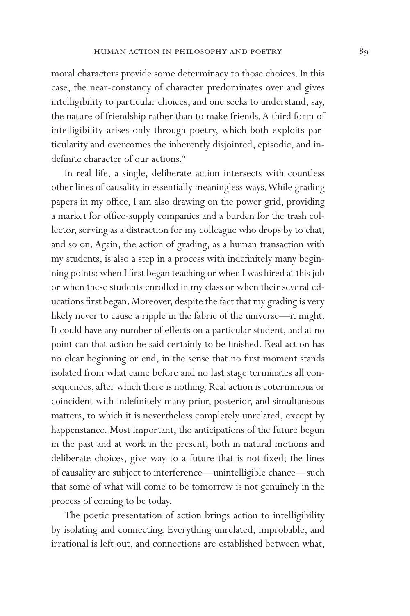moral characters provide some determinacy to those choices. In this case, the near-constancy of character predominates over and gives intelligibility to particular choices, and one seeks to understand, say, the nature of friendship rather than to make friends. A third form of intelligibility arises only through poetry, which both exploits particularity and overcomes the inherently disjointed, episodic, and indefinite character of our actions.<sup>6</sup>

In real life, a single, deliberate action intersects with countless other lines of causality in essentially meaningless ways. While grading papers in my office, I am also drawing on the power grid, providing a market for office-supply companies and a burden for the trash collector, serving as a distraction for my colleague who drops by to chat, and so on. Again, the action of grading, as a human transaction with my students, is also a step in a process with indefinitely many beginning points: when I first began teaching or when I was hired at this job or when these students enrolled in my class or when their several educations first began. Moreover, despite the fact that my grading is very likely never to cause a ripple in the fabric of the universe—it might. It could have any number of effects on a particular student, and at no point can that action be said certainly to be finished. Real action has no clear beginning or end, in the sense that no first moment stands isolated from what came before and no last stage terminates all consequences, after which there is nothing. Real action is coterminous or coincident with indefinitely many prior, posterior, and simultaneous matters, to which it is nevertheless completely unrelated, except by happenstance. Most important, the anticipations of the future begun in the past and at work in the present, both in natural motions and deliberate choices, give way to a future that is not fixed; the lines of causality are subject to interference—unintelligible chance—such that some of what will come to be tomorrow is not genuinely in the process of coming to be today.

The poetic presentation of action brings action to intelligibility by isolating and connecting. Everything unrelated, improbable, and irrational is left out, and connections are established between what,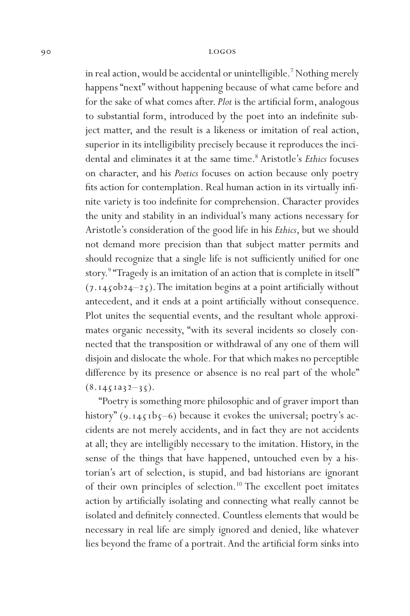in real action, would be accidental or unintelligible.7 Nothing merely happens "next" without happening because of what came before and for the sake of what comes after. *Plot* is the artificial form, analogous to substantial form, introduced by the poet into an indefinite subject matter, and the result is a likeness or imitation of real action, superior in its intelligibility precisely because it reproduces the incidental and eliminates it at the same time.8 Aristotle's *Ethics* focuses on character, and his *Poetics* focuses on action because only poetry fits action for contemplation. Real human action in its virtually infinite variety is too indefinite for comprehension. Character provides the unity and stability in an individual's many actions necessary for Aristotle's consideration of the good life in his *Ethics*, but we should not demand more precision than that subject matter permits and should recognize that a single life is not sufficiently unified for one story.<sup>9</sup> "Tragedy is an imitation of an action that is complete in itself"  $(7.1450b24-25)$ . The imitation begins at a point artificially without antecedent, and it ends at a point artificially without consequence. Plot unites the sequential events, and the resultant whole approximates organic necessity, "with its several incidents so closely connected that the transposition or withdrawal of any one of them will disjoin and dislocate the whole. For that which makes no perceptible difference by its presence or absence is no real part of the whole"  $(8.1451a32 - 35)$ .

"Poetry is something more philosophic and of graver import than history" (9.1451b5–6) because it evokes the universal; poetry's accidents are not merely accidents, and in fact they are not accidents at all; they are intelligibly necessary to the imitation. History, in the sense of the things that have happened, untouched even by a historian's art of selection, is stupid, and bad historians are ignorant of their own principles of selection.10 The excellent poet imitates action by artificially isolating and connecting what really cannot be isolated and definitely connected. Countless elements that would be necessary in real life are simply ignored and denied, like whatever lies beyond the frame of a portrait. And the artificial form sinks into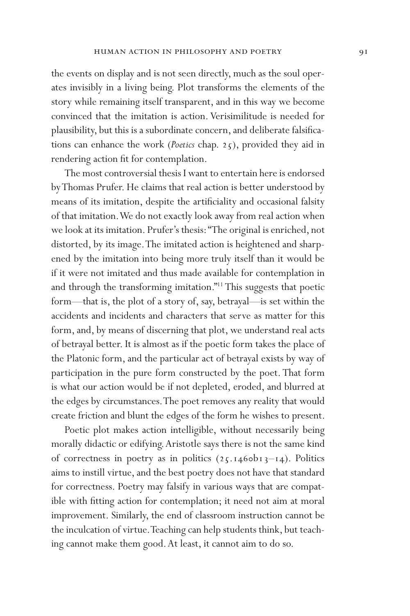the events on display and is not seen directly, much as the soul operates invisibly in a living being. Plot transforms the elements of the story while remaining itself transparent, and in this way we become convinced that the imitation is action. Verisimilitude is needed for plausibility, but this is a subordinate concern, and deliberate falsifications can enhance the work (*Poetics* chap. 25), provided they aid in rendering action fit for contemplation.

The most controversial thesis I want to entertain here is endorsed by Thomas Prufer. He claims that real action is better understood by means of its imitation, despite the artificiality and occasional falsity of that imitation. We do not exactly look away from real action when we look at its imitation. Prufer's thesis: "The original is enriched, not distorted, by its image. The imitated action is heightened and sharpened by the imitation into being more truly itself than it would be if it were not imitated and thus made available for contemplation in and through the transforming imitation."11 This suggests that poetic form—that is, the plot of a story of, say, betrayal—is set within the accidents and incidents and characters that serve as matter for this form, and, by means of discerning that plot, we understand real acts of betrayal better. It is almost as if the poetic form takes the place of the Platonic form, and the particular act of betrayal exists by way of participation in the pure form constructed by the poet. That form is what our action would be if not depleted, eroded, and blurred at the edges by circumstances. The poet removes any reality that would create friction and blunt the edges of the form he wishes to present.

Poetic plot makes action intelligible, without necessarily being morally didactic or edifying. Aristotle says there is not the same kind of correctness in poetry as in politics  $(25.146 \text{ob}13-14)$ . Politics aims to instill virtue, and the best poetry does not have that standard for correctness. Poetry may falsify in various ways that are compatible with fitting action for contemplation; it need not aim at moral improvement. Similarly, the end of classroom instruction cannot be the inculcation of virtue. Teaching can help students think, but teaching cannot make them good. At least, it cannot aim to do so.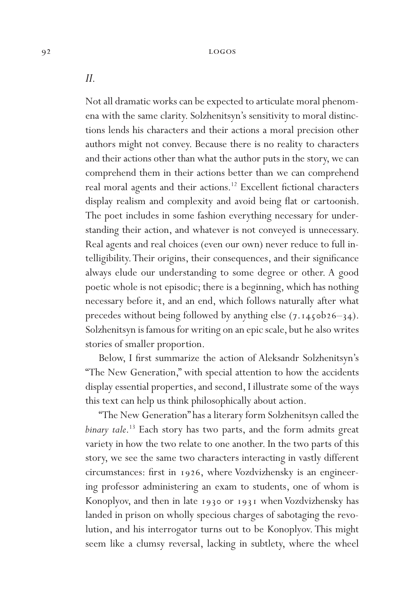*II.*

Not all dramatic works can be expected to articulate moral phenomena with the same clarity. Solzhenitsyn's sensitivity to moral distinctions lends his characters and their actions a moral precision other authors might not convey. Because there is no reality to characters and their actions other than what the author puts in the story, we can comprehend them in their actions better than we can comprehend real moral agents and their actions.12 Excellent fictional characters display realism and complexity and avoid being flat or cartoonish. The poet includes in some fashion everything necessary for understanding their action, and whatever is not conveyed is unnecessary. Real agents and real choices (even our own) never reduce to full intelligibility. Their origins, their consequences, and their significance always elude our understanding to some degree or other. A good poetic whole is not episodic; there is a beginning, which has nothing necessary before it, and an end, which follows naturally after what precedes without being followed by anything else  $(7.1450b26-34)$ . Solzhenitsyn is famous for writing on an epic scale, but he also writes stories of smaller proportion.

Below, I first summarize the action of Aleksandr Solzhenitsyn's "The New Generation," with special attention to how the accidents display essential properties, and second, I illustrate some of the ways this text can help us think philosophically about action.

"The New Generation" has a literary form Solzhenitsyn called the *binary tale*. 13 Each story has two parts, and the form admits great variety in how the two relate to one another. In the two parts of this story, we see the same two characters interacting in vastly different circumstances: first in 1926, where Vozdvizhensky is an engineering professor administering an exam to students, one of whom is Konoplyov, and then in late 1930 or 1931 when Vozdvizhensky has landed in prison on wholly specious charges of sabotaging the revolution, and his interrogator turns out to be Konoplyov. This might seem like a clumsy reversal, lacking in subtlety, where the wheel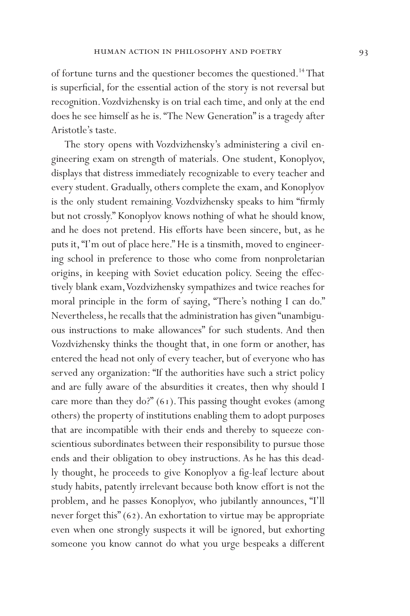of fortune turns and the questioner becomes the questioned.14 That is superficial, for the essential action of the story is not reversal but recognition. Vozdvizhensky is on trial each time, and only at the end does he see himself as he is. "The New Generation" is a tragedy after Aristotle's taste.

The story opens with Vozdvizhensky's administering a civil engineering exam on strength of materials. One student, Konoplyov, displays that distress immediately recognizable to every teacher and every student. Gradually, others complete the exam, and Konoplyov is the only student remaining. Vozdvizhensky speaks to him "firmly but not crossly." Konoplyov knows nothing of what he should know, and he does not pretend. His efforts have been sincere, but, as he puts it, "I'm out of place here." He is a tinsmith, moved to engineering school in preference to those who come from nonproletarian origins, in keeping with Soviet education policy. Seeing the effectively blank exam, Vozdvizhensky sympathizes and twice reaches for moral principle in the form of saying, "There's nothing I can do." Nevertheless, he recalls that the administration has given "unambiguous instructions to make allowances" for such students. And then Vozdvizhensky thinks the thought that, in one form or another, has entered the head not only of every teacher, but of everyone who has served any organization: "If the authorities have such a strict policy and are fully aware of the absurdities it creates, then why should I care more than they do?" (61). This passing thought evokes (among others) the property of institutions enabling them to adopt purposes that are incompatible with their ends and thereby to squeeze conscientious subordinates between their responsibility to pursue those ends and their obligation to obey instructions. As he has this deadly thought, he proceeds to give Konoplyov a fig-leaf lecture about study habits, patently irrelevant because both know effort is not the problem, and he passes Konoplyov, who jubilantly announces, "I'll never forget this" (62). An exhortation to virtue may be appropriate even when one strongly suspects it will be ignored, but exhorting someone you know cannot do what you urge bespeaks a different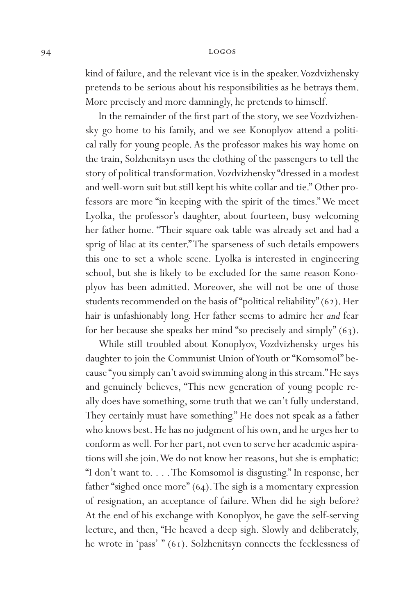kind of failure, and the relevant vice is in the speaker. Vozdvizhensky pretends to be serious about his responsibilities as he betrays them. More precisely and more damningly, he pretends to himself.

In the remainder of the first part of the story, we see Vozdvizhensky go home to his family, and we see Konoplyov attend a political rally for young people. As the professor makes his way home on the train, Solzhenitsyn uses the clothing of the passengers to tell the story of political transformation. Vozdvizhensky "dressed in a modest and well-worn suit but still kept his white collar and tie." Other professors are more "in keeping with the spirit of the times." We meet Lyolka, the professor's daughter, about fourteen, busy welcoming her father home. "Their square oak table was already set and had a sprig of lilac at its center." The sparseness of such details empowers this one to set a whole scene. Lyolka is interested in engineering school, but she is likely to be excluded for the same reason Konoplyov has been admitted. Moreover, she will not be one of those students recommended on the basis of "political reliability" (62). Her hair is unfashionably long. Her father seems to admire her *and* fear for her because she speaks her mind "so precisely and simply" (63).

While still troubled about Konoplyov, Vozdvizhensky urges his daughter to join the Communist Union of Youth or "Komsomol" because "you simply can't avoid swimming along in this stream." He says and genuinely believes, "This new generation of young people really does have something, some truth that we can't fully understand. They certainly must have something." He does not speak as a father who knows best. He has no judgment of his own, and he urges her to conform as well. For her part, not even to serve her academic aspirations will she join. We do not know her reasons, but she is emphatic: "I don't want to. . . . The Komsomol is disgusting." In response, her father "sighed once more" (64). The sigh is a momentary expression of resignation, an acceptance of failure. When did he sigh before? At the end of his exchange with Konoplyov, he gave the self-serving lecture, and then, "He heaved a deep sigh. Slowly and deliberately, he wrote in 'pass' " (61). Solzhenitsyn connects the fecklessness of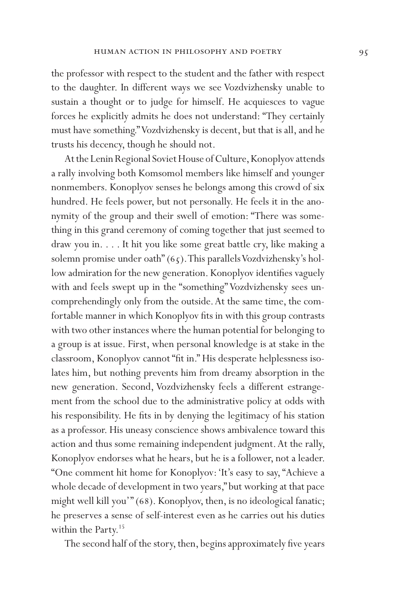the professor with respect to the student and the father with respect to the daughter. In different ways we see Vozdvizhensky unable to sustain a thought or to judge for himself. He acquiesces to vague forces he explicitly admits he does not understand: "They certainly must have something." Vozdvizhensky is decent, but that is all, and he trusts his decency, though he should not.

At the Lenin Regional Soviet House of Culture, Konoplyov attends a rally involving both Komsomol members like himself and younger nonmembers. Konoplyov senses he belongs among this crowd of six hundred. He feels power, but not personally. He feels it in the anonymity of the group and their swell of emotion: "There was something in this grand ceremony of coming together that just seemed to draw you in. . . . It hit you like some great battle cry, like making a solemn promise under oath" $(65)$ . This parallels Vozdvizhensky's hollow admiration for the new generation. Konoplyov identifies vaguely with and feels swept up in the "something" Vozdvizhensky sees uncomprehendingly only from the outside. At the same time, the comfortable manner in which Konoplyov fits in with this group contrasts with two other instances where the human potential for belonging to a group is at issue. First, when personal knowledge is at stake in the classroom, Konoplyov cannot "fit in." His desperate helplessness isolates him, but nothing prevents him from dreamy absorption in the new generation. Second, Vozdvizhensky feels a different estrangement from the school due to the administrative policy at odds with his responsibility. He fits in by denying the legitimacy of his station as a professor. His uneasy conscience shows ambivalence toward this action and thus some remaining independent judgment. At the rally, Konoplyov endorses what he hears, but he is a follower, not a leader. "One comment hit home for Konoplyov: 'It's easy to say, "Achieve a whole decade of development in two years," but working at that pace might well kill you'" (68). Konoplyov, then, is no ideological fanatic; he preserves a sense of self-interest even as he carries out his duties within the Party.<sup>15</sup>

The second half of the story, then, begins approximately five years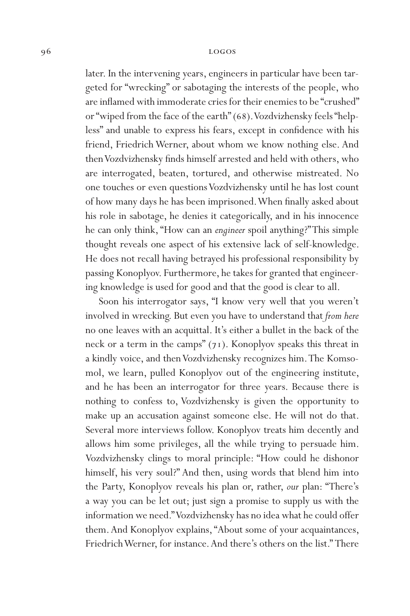later. In the intervening years, engineers in particular have been targeted for "wrecking" or sabotaging the interests of the people, who are inflamed with immoderate cries for their enemies to be "crushed" or "wiped from the face of the earth" (68). Vozdvizhensky feels "helpless" and unable to express his fears, except in confidence with his friend, Friedrich Werner, about whom we know nothing else. And then Vozdvizhensky finds himself arrested and held with others, who are interrogated, beaten, tortured, and otherwise mistreated. No one touches or even questions Vozdvizhensky until he has lost count of how many days he has been imprisoned. When finally asked about his role in sabotage, he denies it categorically, and in his innocence he can only think, "How can an *engineer* spoil anything?" This simple thought reveals one aspect of his extensive lack of self-knowledge. He does not recall having betrayed his professional responsibility by passing Konoplyov. Furthermore, he takes for granted that engineering knowledge is used for good and that the good is clear to all.

Soon his interrogator says, "I know very well that you weren't involved in wrecking. But even you have to understand that *from here* no one leaves with an acquittal. It's either a bullet in the back of the neck or a term in the camps"  $(71)$ . Konoplyov speaks this threat in a kindly voice, and then Vozdvizhensky recognizes him. The Komsomol, we learn, pulled Konoplyov out of the engineering institute, and he has been an interrogator for three years. Because there is nothing to confess to, Vozdvizhensky is given the opportunity to make up an accusation against someone else. He will not do that. Several more interviews follow. Konoplyov treats him decently and allows him some privileges, all the while trying to persuade him. Vozdvizhensky clings to moral principle: "How could he dishonor himself, his very soul?" And then, using words that blend him into the Party, Konoplyov reveals his plan or, rather, *our* plan: "There's a way you can be let out; just sign a promise to supply us with the information we need." Vozdvizhensky has no idea what he could offer them. And Konoplyov explains, "About some of your acquaintances, Friedrich Werner, for instance. And there's others on the list." There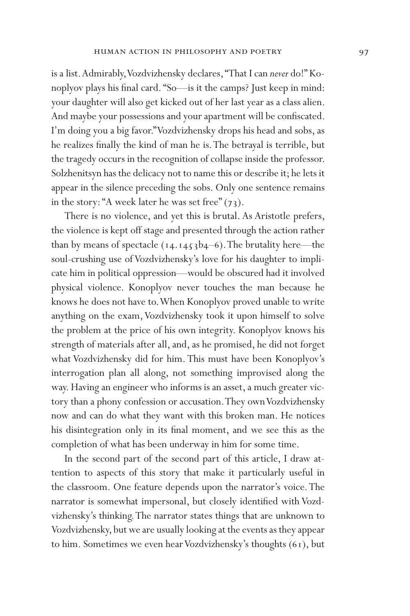is a list. Admirably, Vozdvizhensky declares, "That I can *never* do!" Konoplyov plays his final card. "So—is it the camps? Just keep in mind: your daughter will also get kicked out of her last year as a class alien. And maybe your possessions and your apartment will be confiscated. I'm doing you a big favor." Vozdvizhensky drops his head and sobs, as he realizes finally the kind of man he is. The betrayal is terrible, but the tragedy occurs in the recognition of collapse inside the professor. Solzhenitsyn has the delicacy not to name this or describe it; he lets it appear in the silence preceding the sobs. Only one sentence remains in the story: "A week later he was set free"  $(73)$ .

There is no violence, and yet this is brutal. As Aristotle prefers, the violence is kept off stage and presented through the action rather than by means of spectacle  $(14.1453b4-6)$ . The brutality here—the soul-crushing use of Vozdvizhensky's love for his daughter to implicate him in political oppression—would be obscured had it involved physical violence. Konoplyov never touches the man because he knows he does not have to. When Konoplyov proved unable to write anything on the exam, Vozdvizhensky took it upon himself to solve the problem at the price of his own integrity. Konoplyov knows his strength of materials after all, and, as he promised, he did not forget what Vozdvizhensky did for him. This must have been Konoplyov's interrogation plan all along, not something improvised along the way. Having an engineer who informs is an asset, a much greater victory than a phony confession or accusation. They own Vozdvizhensky now and can do what they want with this broken man. He notices his disintegration only in its final moment, and we see this as the completion of what has been underway in him for some time.

In the second part of the second part of this article, I draw attention to aspects of this story that make it particularly useful in the classroom. One feature depends upon the narrator's voice. The narrator is somewhat impersonal, but closely identified with Vozdvizhensky's thinking. The narrator states things that are unknown to Vozdvizhensky, but we are usually looking at the events as they appear to him. Sometimes we even hear Vozdvizhensky's thoughts (61), but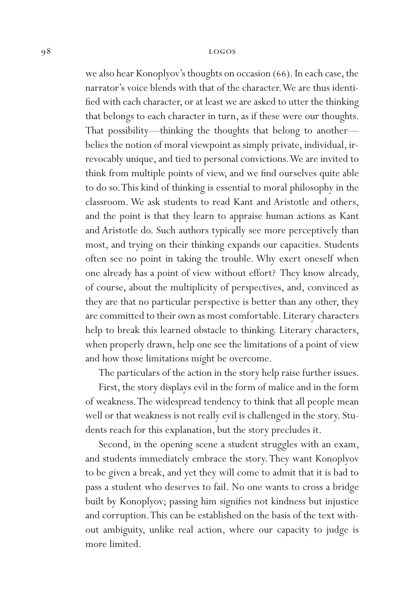we also hear Konoplyov's thoughts on occasion (66). In each case, the narrator's voice blends with that of the character. We are thus identified with each character, or at least we are asked to utter the thinking that belongs to each character in turn, as if these were our thoughts. That possibility—thinking the thoughts that belong to another belies the notion of moral viewpoint as simply private, individual, irrevocably unique, and tied to personal convictions. We are invited to think from multiple points of view, and we find ourselves quite able to do so. This kind of thinking is essential to moral philosophy in the classroom. We ask students to read Kant and Aristotle and others, and the point is that they learn to appraise human actions as Kant and Aristotle do. Such authors typically see more perceptively than most, and trying on their thinking expands our capacities. Students often see no point in taking the trouble. Why exert oneself when one already has a point of view without effort? They know already, of course, about the multiplicity of perspectives, and, convinced as they are that no particular perspective is better than any other, they are committed to their own as most comfortable. Literary characters help to break this learned obstacle to thinking. Literary characters, when properly drawn, help one see the limitations of a point of view and how those limitations might be overcome.

The particulars of the action in the story help raise further issues.

First, the story displays evil in the form of malice and in the form of weakness. The widespread tendency to think that all people mean well or that weakness is not really evil is challenged in the story. Students reach for this explanation, but the story precludes it.

Second, in the opening scene a student struggles with an exam, and students immediately embrace the story. They want Konoplyov to be given a break, and yet they will come to admit that it is bad to pass a student who deserves to fail. No one wants to cross a bridge built by Konoplyov; passing him signifies not kindness but injustice and corruption. This can be established on the basis of the text without ambiguity, unlike real action, where our capacity to judge is more limited.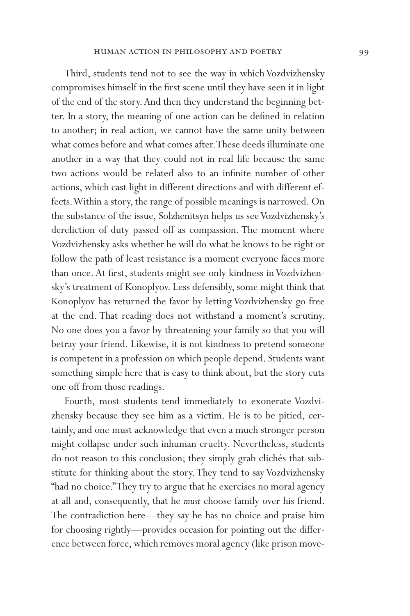Third, students tend not to see the way in which Vozdvizhensky compromises himself in the first scene until they have seen it in light of the end of the story. And then they understand the beginning better. In a story, the meaning of one action can be defined in relation to another; in real action, we cannot have the same unity between what comes before and what comes after. These deeds illuminate one another in a way that they could not in real life because the same two actions would be related also to an infinite number of other actions, which cast light in different directions and with different effects. Within a story, the range of possible meanings is narrowed. On the substance of the issue, Solzhenitsyn helps us see Vozdvizhensky's dereliction of duty passed off as compassion. The moment where Vozdvizhensky asks whether he will do what he knows to be right or follow the path of least resistance is a moment everyone faces more than once. At first, students might see only kindness in Vozdvizhensky's treatment of Konoplyov. Less defensibly, some might think that Konoplyov has returned the favor by letting Vozdvizhensky go free at the end. That reading does not withstand a moment's scrutiny. No one does you a favor by threatening your family so that you will betray your friend. Likewise, it is not kindness to pretend someone is competent in a profession on which people depend. Students want something simple here that is easy to think about, but the story cuts one off from those readings.

Fourth, most students tend immediately to exonerate Vozdvizhensky because they see him as a victim. He is to be pitied, certainly, and one must acknowledge that even a much stronger person might collapse under such inhuman cruelty. Nevertheless, students do not reason to this conclusion; they simply grab clichés that substitute for thinking about the story. They tend to say Vozdvizhensky "had no choice." They try to argue that he exercises no moral agency at all and, consequently, that he *must* choose family over his friend. The contradiction here—they say he has no choice and praise him for choosing rightly—provides occasion for pointing out the difference between force, which removes moral agency (like prison move-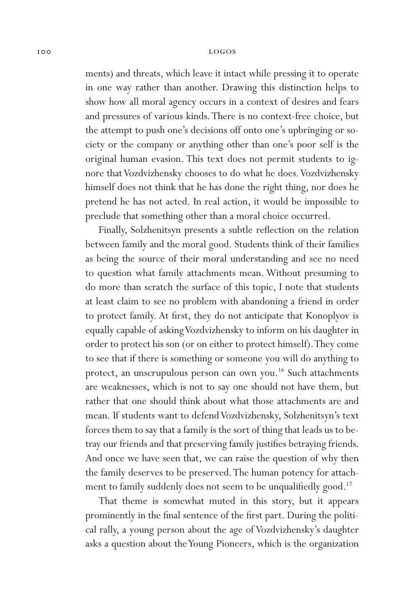ments) and threats, which leave it intact while pressing it to operate in one way rather than another. Drawing this distinction helps to show how all moral agency occurs in a context of desires and fears and pressures of various kinds. There is no context-free choice, but the attempt to push one's decisions off onto one's upbringing or society or the company or anything other than one's poor self is the original human evasion. This text does not permit students to ignore that Vozdvizhensky chooses to do what he does. Vozdvizhensky himself does not think that he has done the right thing, nor does he pretend he has not acted. In real action, it would be impossible to preclude that something other than a moral choice occurred.

Finally, Solzhenitsyn presents a subtle reflection on the relation between family and the moral good. Students think of their families as being the source of their moral understanding and see no need to question what family attachments mean. Without presuming to do more than scratch the surface of this topic, I note that students at least claim to see no problem with abandoning a friend in order to protect family. At first, they do not anticipate that Konoplyov is equally capable of asking Vozdvizhensky to inform on his daughter in order to protect his son (or on either to protect himself). They come to see that if there is something or someone you will do anything to protect, an unscrupulous person can own you.<sup>16</sup> Such attachments are weaknesses, which is not to say one should not have them, but rather that one should think about what those attachments are and mean. If students want to defend Vozdvizhensky, Solzhenitsyn's text forces them to say that a family is the sort of thing that leads us to betray our friends and that preserving family justifies betraying friends. And once we have seen that, we can raise the question of why then the family deserves to be preserved. The human potency for attachment to family suddenly does not seem to be unqualifiedly good.<sup>17</sup>

That theme is somewhat muted in this story, but it appears prominently in the final sentence of the first part. During the political rally, a young person about the age of Vozdvizhensky's daughter asks a question about the Young Pioneers, which is the organization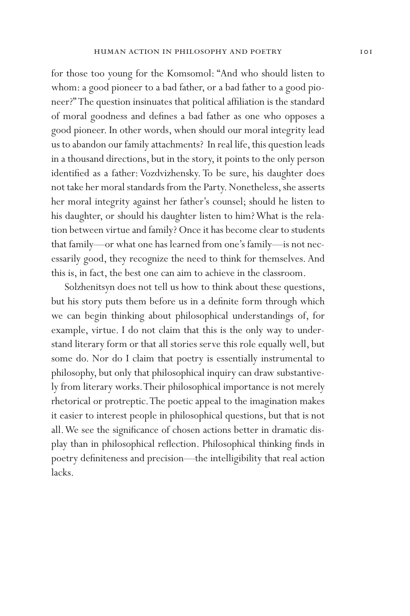for those too young for the Komsomol: "And who should listen to whom: a good pioneer to a bad father, or a bad father to a good pioneer?" The question insinuates that political affiliation is the standard of moral goodness and defines a bad father as one who opposes a good pioneer. In other words, when should our moral integrity lead us to abandon our family attachments? In real life, this question leads in a thousand directions, but in the story, it points to the only person identified as a father: Vozdvizhensky. To be sure, his daughter does not take her moral standards from the Party. Nonetheless, she asserts her moral integrity against her father's counsel; should he listen to his daughter, or should his daughter listen to him? What is the relation between virtue and family? Once it has become clear to students that family—or what one has learned from one's family—is not necessarily good, they recognize the need to think for themselves. And this is, in fact, the best one can aim to achieve in the classroom.

Solzhenitsyn does not tell us how to think about these questions, but his story puts them before us in a definite form through which we can begin thinking about philosophical understandings of, for example, virtue. I do not claim that this is the only way to understand literary form or that all stories serve this role equally well, but some do. Nor do I claim that poetry is essentially instrumental to philosophy, but only that philosophical inquiry can draw substantively from literary works. Their philosophical importance is not merely rhetorical or protreptic. The poetic appeal to the imagination makes it easier to interest people in philosophical questions, but that is not all. We see the significance of chosen actions better in dramatic display than in philosophical reflection. Philosophical thinking finds in poetry definiteness and precision—the intelligibility that real action lacks.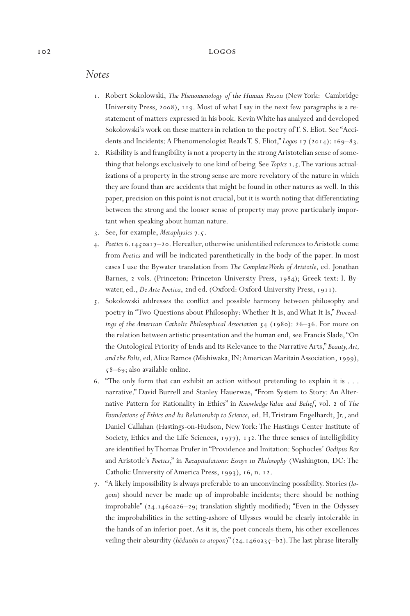#### *Notes*

- 1. Robert Sokolowski, *The Phenomenology of the Human Person* (New York: Cambridge University Press, 2008), 119. Most of what I say in the next few paragraphs is a restatement of matters expressed in his book. Kevin White has analyzed and developed Sokolowski's work on these matters in relation to the poetry of T. S. Eliot. See "Accidents and Incidents: A Phenomenologist Reads T. S. Eliot," *Logos* 17 (2014): 169–83.
- 2. Risibility is and frangibility is not a property in the strong Aristotelian sense of something that belongs exclusively to one kind of being. See *Topics* 1.5. The various actualizations of a property in the strong sense are more revelatory of the nature in which they are found than are accidents that might be found in other natures as well. In this paper, precision on this point is not crucial, but it is worth noting that differentiating between the strong and the looser sense of property may prove particularly important when speaking about human nature.
- 3. See, for example, *Metaphysics* 7.5.
- 4. *Poetics* 6.1450a17–20. Hereafter, otherwise unidentified references to Aristotle come from *Poetics* and will be indicated parenthetically in the body of the paper. In most cases I use the Bywater translation from *The Complete Works of Aristotle*, ed. Jonathan Barnes, 2 vols. (Princeton: Princeton University Press, 1984); Greek text: I. Bywater, ed., *De Arte Poetica*, 2nd ed. (Oxford: Oxford University Press, 1911).
- 5. Sokolowski addresses the conflict and possible harmony between philosophy and poetry in "Two Questions about Philosophy: Whether It Is, and What It Is," *Proceedings of the American Catholic Philosophical Association* 54 (1980): 26–36. For more on the relation between artistic presentation and the human end, see Francis Slade, "On the Ontological Priority of Ends and Its Relevance to the Narrative Arts," *Beauty, Art, and the Polis*, ed. Alice Ramos (Mishiwaka, IN: American Maritain Association, 1999),  $58-69$ ; also available online.
- 6. "The only form that can exhibit an action without pretending to explain it is . . . narrative." David Burrell and Stanley Hauerwas, "From System to Story: An Alternative Pattern for Rationality in Ethics" in *Knowledge Value and Belief*, vol. 2 of *The Foundations of Ethics and Its Relationship to Science*, ed. H. Tristram Engelhardt, Jr., and Daniel Callahan (Hastings-on-Hudson, New York: The Hastings Center Institute of Society, Ethics and the Life Sciences, 1977), 132. The three senses of intelligibility are identified by Thomas Prufer in "Providence and Imitation: Sophocles' *Oedipus Rex* and Aristotle's *Poetics*," in *Recapitulations: Essays in Philosophy* (Washington, DC: The Catholic University of America Press, 1993), 16, n. 12.
- 7. "A likely impossibility is always preferable to an unconvincing possibility. Stories (*logous*) should never be made up of improbable incidents; there should be nothing improbable" (24.1460a26–29; translation slightly modified); "Even in the Odyssey the improbabilities in the setting-ashore of Ulysses would be clearly intolerable in the hands of an inferior poet. As it is, the poet conceals them, his other excellences veiling their absurdity (*hēdunōn to atopon*)" (24.1460a35–b2). The last phrase literally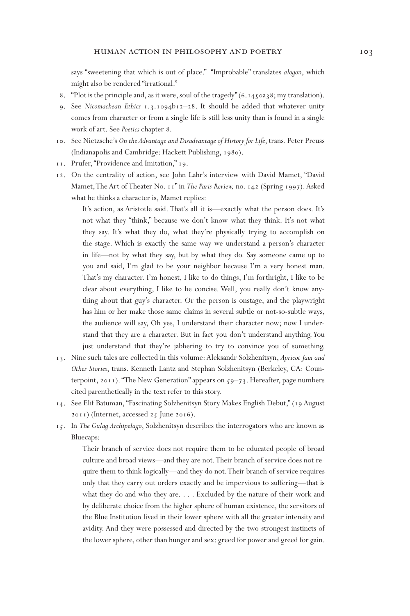says "sweetening that which is out of place." "Improbable" translates *alogon*, which might also be rendered "irrational."

- 8. "Plot is the principle and, as it were, soul of the tragedy"  $(6.1450a38; \text{my translation})$ .
- 9. See *Nicomachean Ethics* 1.3.1094b12–28. It should be added that whatever unity comes from character or from a single life is still less unity than is found in a single work of art. See *Poetics* chapter 8.
- 10. See Nietzsche's *On the Advantage and Disadvantage of History for Life*, trans. Peter Preuss (Indianapolis and Cambridge: Hackett Publishing, 1980).
- 11. Prufer, "Providence and Imitation," 19.
- 12. On the centrality of action, see John Lahr's interview with David Mamet, "David Mamet, The Art of Theater No. 11" in *The Paris Review,* no. 142 (Spring 1997). Asked what he thinks a character is, Mamet replies:

It's action, as Aristotle said. That's all it is—exactly what the person does. It's not what they "think," because we don't know what they think. It's not what they say. It's what they do, what they're physically trying to accomplish on the stage. Which is exactly the same way we understand a person's character in life—not by what they say, but by what they do. Say someone came up to you and said, I'm glad to be your neighbor because I'm a very honest man. That's my character. I'm honest, I like to do things, I'm forthright, I like to be clear about everything, I like to be concise. Well, you really don't know anything about that guy's character. Or the person is onstage, and the playwright has him or her make those same claims in several subtle or not-so-subtle ways, the audience will say, Oh yes, I understand their character now; now I understand that they are a character. But in fact you don't understand anything. You just understand that they're jabbering to try to convince you of something.

- 13. Nine such tales are collected in this volume: Aleksandr Solzhenitsyn, *Apricot Jam and Other Stories*, trans. Kenneth Lantz and Stephan Solzhenitsyn (Berkeley, CA: Counterpoint, 2011). "The New Generation" appears on 59–73. Hereafter, page numbers cited parenthetically in the text refer to this story.
- 14. See Elif Batuman, "Fascinating Solzhenitsyn Story Makes English Debut," (19 August  $2011$ ) (Internet, accessed  $25$  June 2016).
- 15. In *The Gulag Archipelago*, Solzhenitsyn describes the interrogators who are known as Bluecaps:

Their branch of service does not require them to be educated people of broad culture and broad views—and they are not. Their branch of service does not require them to think logically—and they do not. Their branch of service requires only that they carry out orders exactly and be impervious to suffering—that is what they do and who they are. . . . Excluded by the nature of their work and by deliberate choice from the higher sphere of human existence, the servitors of the Blue Institution lived in their lower sphere with all the greater intensity and avidity. And they were possessed and directed by the two strongest instincts of the lower sphere, other than hunger and sex: greed for power and greed for gain.